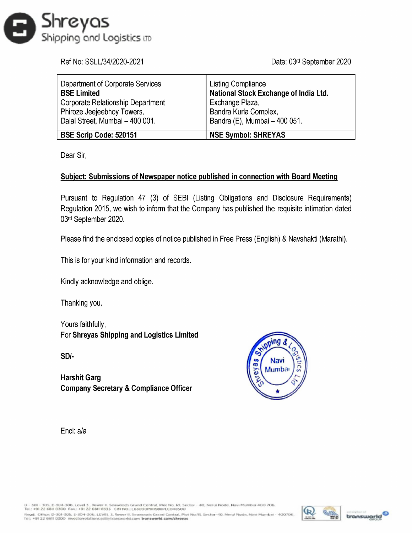

| <b>ireyas</b>                                                                              |                                                                    |
|--------------------------------------------------------------------------------------------|--------------------------------------------------------------------|
| oping and Logistics in                                                                     |                                                                    |
| Ref No: SSLL/34/2020-2021                                                                  | Date: 03rd September 2020                                          |
| Department of Corporate Services<br><b>BSE Limited</b>                                     | <b>Listing Compliance</b><br>National Stock Exchange of India Ltd. |
| Corporate Relationship Department                                                          | Exchange Plaza,                                                    |
| Phiroze Jeejeebhoy Towers,                                                                 | Bandra Kurla Complex,                                              |
| Dalal Street, Mumbai - 400 001.                                                            | Bandra (E), Mumbai - 400 051.                                      |
| BSE Scrip Code: 520151                                                                     | <b>NSE Symbol: SHREYAS</b>                                         |
| Dear Sir,                                                                                  |                                                                    |
| <b>Subject: Submissions of Newspaper notice published in connection with Board Meeting</b> |                                                                    |

## Subject: Submissions of Newspaper notice published in connection with Board Meeting

Pursuant to Regulation 47 (3) of SEBI (Listing Obligations and Disclosure Requirements) Regulation 2015, we wish to inform that the Company has published the requisite intimation dated 03<sup>rd</sup> September 2020.

Please find the enclosed copies of notice published in Free Press (English) & Navshakti (Marathi).

This is for your kind information and records.

Kindly acknowledge and oblige.

Thanking you,

Yours faithfully, For Shreyas Shipping and Logistics Limited

SDI-

Harshit Garg Company Secretary & Compliance Officer



Encl: a/a



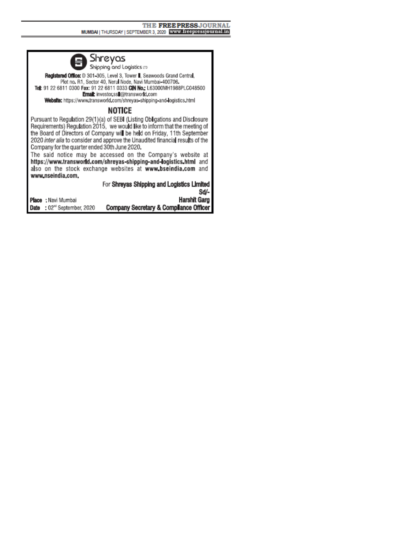

Registered Office: D 301-305, Level 3, Tower II, Seawoods Grand Central, Plot no. R1, Sector 40, Nerul Node, Navi Mumbai-400706. Tel: 91 22 6811 0300 Fax: 91 22 6811 0333 CIN No. L63000MH1988PLC048500 Email: investor ssi@transworld.com Website: https://www.transworld.com/shreyas-shipping-and-logistics.html

## NOTICE

Pursuant to Regulation 29(1)(a) of SEBI (Listing Obligations and Disclosure Requirements) Regulation 2015, we would like to inform that the meeting of the Board of Directors of Company will be held on Friday, 11th September 2020 inter alia to consider and approve the Unaudited financial results of the Company for the quarter ended 30th June 2020.

The said notice may be accessed on the Company's website at https://www.transworld.com/shreyas-shipping-and-logistics.html and also on the stock exchange websites at www.bseindia.com and www.nseindia.com.

|                                   | For Shreyas Shipping and Logistics Limited |
|-----------------------------------|--------------------------------------------|
|                                   | Sd/-                                       |
| P <b>lace :</b> Navi Mumbai       | Harshit Garg                               |
| <b>Date :</b> 02" September, 2020 | Company Secretary & Compliance Officer     |